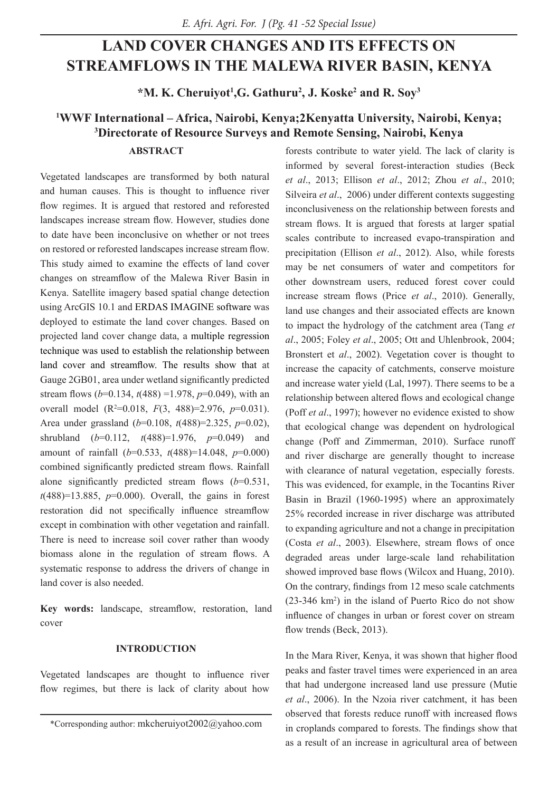# **LAND COVER CHANGES AND ITS EFFECTS ON STREAMFLOWS IN THE MALEWA RIVER BASIN, KENYA**

 $*$ M. K. Cheruiyot<sup>1</sup>,G. Gathuru<sup>2</sup>, J. Koske<sup>2</sup> and R. Soy<sup>3</sup>

## <sup>1</sup>WWF International – Africa, Nairobi, Kenya;2Kenyatta University, Nairobi, Kenya;<br><sup>3</sup>Directorate of Resource Surveys and Remote Sensing, Nairobi, Kenya **Directorate of Resource Surveys and Remote Sensing, Nairobi, Kenya**

## **ABSTRACT**

Vegetated landscapes are transformed by both natural and human causes. This is thought to influence river flow regimes. It is argued that restored and reforested landscapes increase stream flow. However, studies done to date have been inconclusive on whether or not trees on restored or reforested landscapes increase stream flow. This study aimed to examine the effects of land cover changes on streamflow of the Malewa River Basin in Kenya. Satellite imagery based spatial change detection using ArcGIS 10.1 and ERDAS IMAGINE software was deployed to estimate the land cover changes. Based on projected land cover change data, a multiple regression technique was used to establish the relationship between land cover and streamflow. The results show that at Gauge 2GB01, area under wetland significantly predicted stream flows (*b*=0.134, *t*(488) =1.978, *p*=0.049), with an overall model (R<sup>2</sup> =0.018, *F*(3, 488)=2.976, *p*=0.031). Area under grassland (*b*=0.108, *t*(488)=2.325, *p*=0.02), shrubland (*b*=0.112, *t*(488)=1.976, *p*=0.049) and amount of rainfall (*b*=0.533, *t*(488)=14.048, *p*=0.000) combined significantly predicted stream flows. Rainfall alone significantly predicted stream flows (*b*=0.531,  $t(488)=13.885$ ,  $p=0.000$ ). Overall, the gains in forest restoration did not specifically influence streamflow except in combination with other vegetation and rainfall. There is need to increase soil cover rather than woody biomass alone in the regulation of stream flows. A systematic response to address the drivers of change in land cover is also needed.

**Key words:** landscape, streamflow, restoration, land cover

#### **INTRODUCTION**

Vegetated landscapes are thought to influence river flow regimes, but there is lack of clarity about how

forests contribute to water yield. The lack of clarity is informed by several forest-interaction studies (Beck *et al*., 2013; Ellison *et al*., 2012; Zhou *et al*., 2010; Silveira *et al.*, 2006) under different contexts suggesting inconclusiveness on the relationship between forests and stream flows. It is argued that forests at larger spatial scales contribute to increased evapo-transpiration and precipitation (Ellison *et al*., 2012). Also, while forests may be net consumers of water and competitors for other downstream users, reduced forest cover could increase stream flows (Price *et al*., 2010). Generally, land use changes and their associated effects are known to impact the hydrology of the catchment area (Tang *et al*., 2005; Foley *et al*., 2005; Ott and Uhlenbrook, 2004; Bronstert et *al*., 2002). Vegetation cover is thought to increase the capacity of catchments, conserve moisture and increase water yield (Lal, 1997). There seems to be a relationship between altered flows and ecological change (Poff *et al*., 1997); however no evidence existed to show that ecological change was dependent on hydrological change (Poff and Zimmerman, 2010). Surface runoff and river discharge are generally thought to increase with clearance of natural vegetation, especially forests. This was evidenced, for example, in the Tocantins River Basin in Brazil (1960-1995) where an approximately 25% recorded increase in river discharge was attributed to expanding agriculture and not a change in precipitation (Costa *et al*., 2003). Elsewhere, stream flows of once degraded areas under large-scale land rehabilitation showed improved base flows (Wilcox and Huang, 2010). On the contrary, findings from 12 meso scale catchments (23-346 km<sup>2</sup> ) in the island of Puerto Rico do not show influence of changes in urban or forest cover on stream flow trends (Beck, 2013).

In the Mara River, Kenya, it was shown that higher flood peaks and faster travel times were experienced in an area that had undergone increased land use pressure (Mutie *et al*., 2006). In the Nzoia river catchment, it has been observed that forests reduce runoff with increased flows in croplands compared to forests. The findings show that as a result of an increase in agricultural area of between

<sup>\*</sup>Corresponding author: mkcheruiyot2002@yahoo.com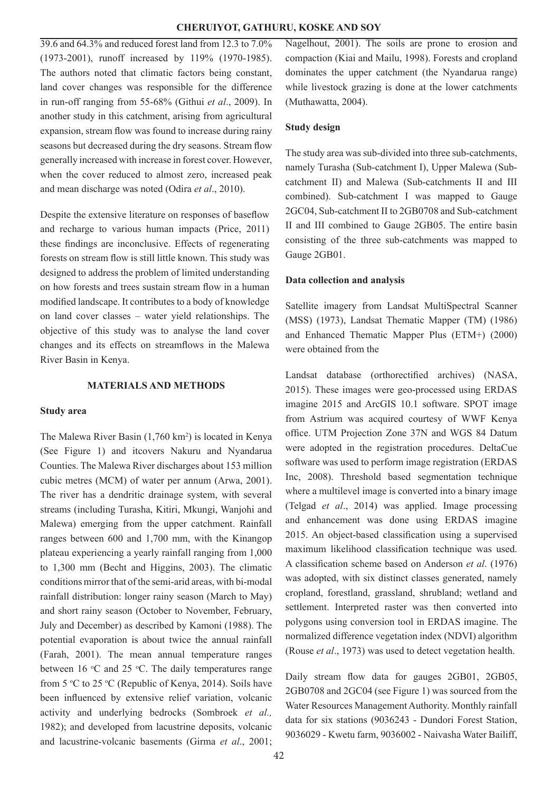39.6 and 64.3% and reduced forest land from 12.3 to 7.0% (1973-2001), runoff increased by 119% (1970-1985). The authors noted that climatic factors being constant, land cover changes was responsible for the difference in run-off ranging from 55-68% (Githui *et al*., 2009). In another study in this catchment, arising from agricultural expansion, stream flow was found to increase during rainy seasons but decreased during the dry seasons. Stream flow generally increased with increase in forest cover. However, when the cover reduced to almost zero, increased peak and mean discharge was noted (Odira *et al*., 2010).

Despite the extensive literature on responses of baseflow and recharge to various human impacts (Price, 2011) these findings are inconclusive. Effects of regenerating forests on stream flow is still little known. This study was designed to address the problem of limited understanding on how forests and trees sustain stream flow in a human modified landscape. It contributes to a body of knowledge on land cover classes – water yield relationships. The objective of this study was to analyse the land cover changes and its effects on streamflows in the Malewa River Basin in Kenya.

#### **MATERIALS AND METHODS**

#### **Study area**

The Malewa River Basin (1,760 km<sup>2</sup> ) is located in Kenya (See Figure 1) and itcovers Nakuru and Nyandarua Counties. The Malewa River discharges about 153 million cubic metres (MCM) of water per annum (Arwa, 2001). The river has a dendritic drainage system, with several streams (including Turasha, Kitiri, Mkungi, Wanjohi and Malewa) emerging from the upper catchment. Rainfall ranges between 600 and 1,700 mm, with the Kinangop plateau experiencing a yearly rainfall ranging from 1,000 to 1,300 mm (Becht and Higgins, 2003). The climatic conditions mirror that of the semi-arid areas, with bi-modal rainfall distribution: longer rainy season (March to May) and short rainy season (October to November, February, July and December) as described by Kamoni (1988). The potential evaporation is about twice the annual rainfall (Farah, 2001). The mean annual temperature ranges between 16  $\degree$ C and 25  $\degree$ C. The daily temperatures range from 5  $\rm{°C}$  to 25  $\rm{°C}$  (Republic of Kenya, 2014). Soils have been influenced by extensive relief variation, volcanic activity and underlying bedrocks (Sombroek *et al.,*  1982); and developed from lacustrine deposits, volcanic and lacustrine-volcanic basements (Girma *et al*., 2001;

Nagelhout, 2001). The soils are prone to erosion and compaction (Kiai and Mailu, 1998). Forests and cropland dominates the upper catchment (the Nyandarua range) while livestock grazing is done at the lower catchments (Muthawatta, 2004).

#### **Study design**

The study area was sub-divided into three sub-catchments, namely Turasha (Sub-catchment I), Upper Malewa (Subcatchment II) and Malewa (Sub-catchments II and III combined). Sub-catchment I was mapped to Gauge 2GC04, Sub-catchment II to 2GB0708 and Sub-catchment II and III combined to Gauge 2GB05. The entire basin consisting of the three sub-catchments was mapped to Gauge 2GB01.

#### **Data collection and analysis**

Satellite imagery from Landsat MultiSpectral Scanner (MSS) (1973), Landsat Thematic Mapper (TM) (1986) and Enhanced Thematic Mapper Plus (ETM+) (2000) were obtained from the

Landsat database (orthorectified archives) (NASA, 2015). These images were geo-processed using ERDAS imagine 2015 and ArcGIS 10.1 software. SPOT image from Astrium was acquired courtesy of WWF Kenya office. UTM Projection Zone 37N and WGS 84 Datum were adopted in the registration procedures. DeltaCue software was used to perform image registration (ERDAS Inc, 2008). Threshold based segmentation technique where a multilevel image is converted into a binary image (Telgad *et al*., 2014) was applied. Image processing and enhancement was done using ERDAS imagine 2015. An object-based classification using a supervised maximum likelihood classification technique was used. A classification scheme based on Anderson *et al*. (1976) was adopted, with six distinct classes generated, namely cropland, forestland, grassland, shrubland; wetland and settlement. Interpreted raster was then converted into polygons using conversion tool in ERDAS imagine. The normalized difference vegetation index (NDVI) algorithm (Rouse *et al*., 1973) was used to detect vegetation health.

Daily stream flow data for gauges 2GB01, 2GB05, 2GB0708 and 2GC04 (see Figure 1) was sourced from the Water Resources Management Authority. Monthly rainfall data for six stations (9036243 - Dundori Forest Station, 9036029 - Kwetu farm, 9036002 - Naivasha Water Bailiff,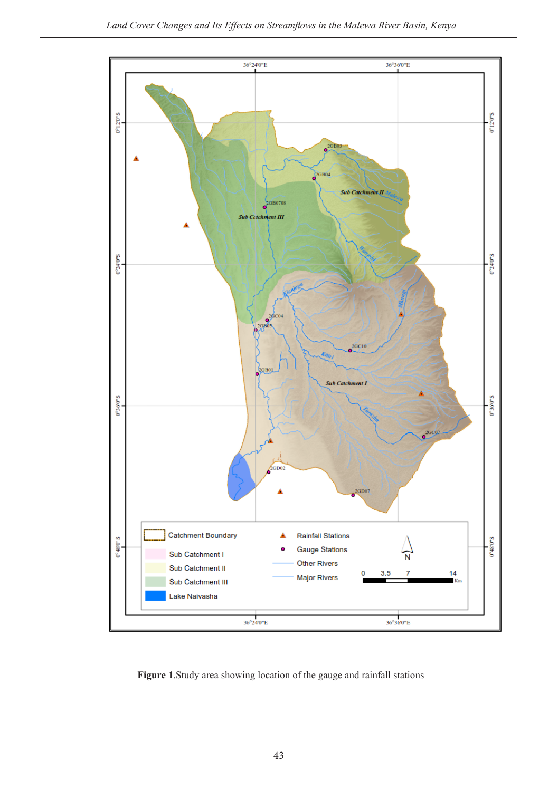

**Figure 1**.Study area showing location of the gauge and rainfall stations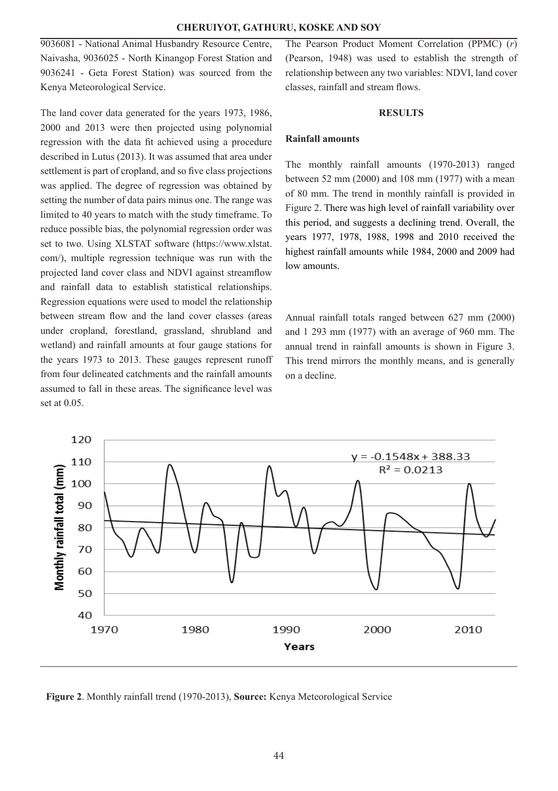9036081 - National Animal Husbandry Resource Centre, Naivasha, 9036025 - North Kinangop Forest Station and 9036241 - Geta Forest Station) was sourced from the Kenya Meteorological Service.

The land cover data generated for the years 1973, 1986, 2000 and 2013 were then projected using polynomial regression with the data fit achieved using a procedure described in Lutus (2013). It was assumed that area under settlement is part of cropland, and so five class projections was applied. The degree of regression was obtained by setting the number of data pairs minus one. The range was limited to 40 years to match with the study timeframe. To reduce possible bias, the polynomial regression order was set to two. Using XLSTAT software (https://www.xlstat. com/), multiple regression technique was run with the projected land cover class and NDVI against streamflow and rainfall data to establish statistical relationships. Regression equations were used to model the relationship between stream flow and the land cover classes (areas under cropland, forestland, grassland, shrubland and wetland) and rainfall amounts at four gauge stations for the years 1973 to 2013. These gauges represent runoff from four delineated catchments and the rainfall amounts assumed to fall in these areas. The significance level was set at 0.05.

The Pearson Product Moment Correlation (PPMC) (*r*) (Pearson, 1948) was used to establish the strength of relationship between any two variables: NDVI, land cover classes, rainfall and stream flows.

#### **RESULTS**

#### **Rainfall amounts**

The monthly rainfall amounts (1970-2013) ranged between 52 mm (2000) and 108 mm (1977) with a mean of 80 mm. The trend in monthly rainfall is provided in Figure 2. There was high level of rainfall variability over this period, and suggests a declining trend. Overall, the years 1977, 1978, 1988, 1998 and 2010 received the highest rainfall amounts while 1984, 2000 and 2009 had low amounts.

Annual rainfall totals ranged between 627 mm (2000) and 1 293 mm (1977) with an average of 960 mm. The annual trend in rainfall amounts is shown in Figure 3. This trend mirrors the monthly means, and is generally on a decline.



**Figure 2**. Monthly rainfall trend (1970-2013), **Source:** Kenya Meteorological Service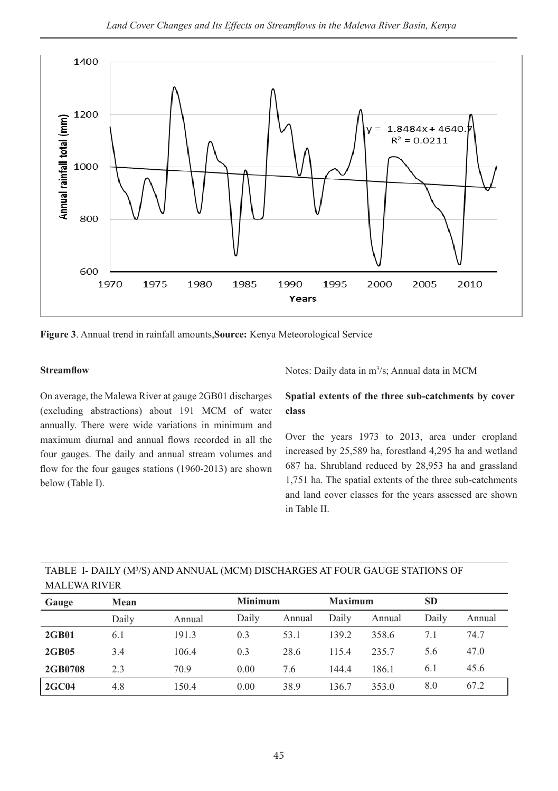

**Figure 3**. Annual trend in rainfall amounts,**Source:** Kenya Meteorological Service

#### **Streamflow**

On average, the Malewa River at gauge 2GB01 discharges (excluding abstractions) about 191 MCM of water annually. There were wide variations in minimum and maximum diurnal and annual flows recorded in all the four gauges. The daily and annual stream volumes and flow for the four gauges stations (1960-2013) are shown below (Table I).

Notes: Daily data in m<sup>3</sup>/s; Annual data in MCM

## **Spatial extents of the three sub-catchments by cover class**

Over the years 1973 to 2013, area under cropland increased by 25,589 ha, forestland 4,295 ha and wetland 687 ha. Shrubland reduced by 28,953 ha and grassland 1,751 ha. The spatial extents of the three sub-catchments and land cover classes for the years assessed are shown in Table II.

| <b>MALEWA RIVER</b> |       |        |       |                |       |                |       |        |  |
|---------------------|-------|--------|-------|----------------|-------|----------------|-------|--------|--|
| Gauge               | Mean  |        |       | <b>Minimum</b> |       | <b>Maximum</b> |       |        |  |
|                     | Daily | Annual | Daily | Annual         | Daily | Annual         | Daily | Annual |  |
| <b>2GB01</b>        | 6.1   | 191.3  | 0.3   | 53.1           | 139.2 | 358.6          | 7.1   | 74.7   |  |
| <b>2GB05</b>        | 3.4   | 106.4  | 0.3   | 28.6           | 115.4 | 235.7          | 5.6   | 47.0   |  |
| 2GB0708             | 2.3   | 70.9   | 0.00  | 7.6            | 144.4 | 186.1          | 6.1   | 45.6   |  |
| 2GC04               | 4.8   | 150.4  | 0.00  | 38.9           | 136.7 | 353.0          | 8.0   | 67.2   |  |

TABLE I- DAILY (M3 /S) AND ANNUAL (MCM) DISCHARGES AT FOUR GAUGE STATIONS OF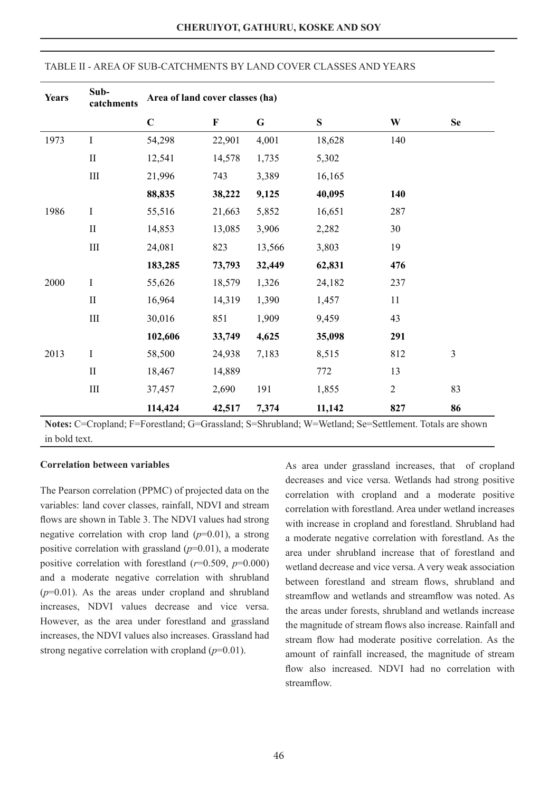| <b>Years</b> | Sub-<br>catchments | Area of land cover classes (ha) |              |             |        |              |           |
|--------------|--------------------|---------------------------------|--------------|-------------|--------|--------------|-----------|
|              |                    | $\mathbf C$                     | $\mathbf{F}$ | $\mathbf G$ | S      | W            | <b>Se</b> |
| 1973         | $\bf I$            | 54,298                          | 22,901       | 4,001       | 18,628 | 140          |           |
|              | $\rm II$           | 12,541                          | 14,578       | 1,735       | 5,302  |              |           |
|              | $\rm III$          | 21,996                          | 743          | 3,389       | 16,165 |              |           |
|              |                    | 88,835                          | 38,222       | 9,125       | 40,095 | 140          |           |
| 1986         | $\bf I$            | 55,516                          | 21,663       | 5,852       | 16,651 | 287          |           |
|              | $\rm II$           | 14,853                          | 13,085       | 3,906       | 2,282  | 30           |           |
|              | Ш                  | 24,081                          | 823          | 13,566      | 3,803  | 19           |           |
|              |                    | 183,285                         | 73,793       | 32,449      | 62,831 | 476          |           |
| 2000         | $\bf I$            | 55,626                          | 18,579       | 1,326       | 24,182 | 237          |           |
|              | $\rm II$           | 16,964                          | 14,319       | 1,390       | 1,457  | 11           |           |
|              | Ш                  | 30,016                          | 851          | 1,909       | 9,459  | 43           |           |
|              |                    | 102,606                         | 33,749       | 4,625       | 35,098 | 291          |           |
| 2013         | $\bf I$            | 58,500                          | 24,938       | 7,183       | 8,515  | 812          | 3         |
|              | $\rm _{II}$        | 18,467                          | 14,889       |             | 772    | 13           |           |
|              | Ш                  | 37,457                          | 2,690        | 191         | 1,855  | $\mathbf{2}$ | 83        |
|              |                    | 114,424                         | 42,517       | 7,374       | 11,142 | 827          | 86        |

#### TABLE II - AREA OF SUB-CATCHMENTS BY LAND COVER CLASSES AND YEARS

**Notes:** C=Cropland; F=Forestland; G=Grassland; S=Shrubland; W=Wetland; Se=Settlement. Totals are shown in bold text.

#### **Correlation between variables**

The Pearson correlation (PPMC) of projected data on the variables: land cover classes, rainfall, NDVI and stream flows are shown in Table 3. The NDVI values had strong negative correlation with crop land  $(p=0.01)$ , a strong positive correlation with grassland (*p*=0.01), a moderate positive correlation with forestland (*r*=0.509, *p*=0.000) and a moderate negative correlation with shrubland  $(p=0.01)$ . As the areas under cropland and shrubland increases, NDVI values decrease and vice versa. However, as the area under forestland and grassland increases, the NDVI values also increases. Grassland had strong negative correlation with cropland (*p*=0.01).

As area under grassland increases, that of cropland decreases and vice versa. Wetlands had strong positive correlation with cropland and a moderate positive correlation with forestland. Area under wetland increases with increase in cropland and forestland. Shrubland had a moderate negative correlation with forestland. As the area under shrubland increase that of forestland and wetland decrease and vice versa. A very weak association between forestland and stream flows, shrubland and streamflow and wetlands and streamflow was noted. As the areas under forests, shrubland and wetlands increase the magnitude of stream flows also increase. Rainfall and stream flow had moderate positive correlation. As the amount of rainfall increased, the magnitude of stream flow also increased. NDVI had no correlation with streamflow.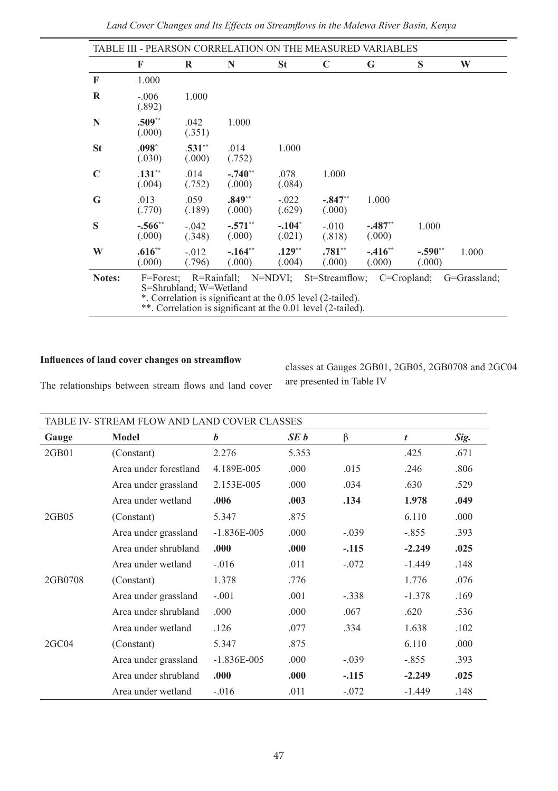| TABLE III - PEARSON CORRELATION ON THE MEASURED VARIABLES |                                                                                                                                                                                |                    |                      |                    |                     |                     |                     |       |
|-----------------------------------------------------------|--------------------------------------------------------------------------------------------------------------------------------------------------------------------------------|--------------------|----------------------|--------------------|---------------------|---------------------|---------------------|-------|
|                                                           | F                                                                                                                                                                              | R                  | N                    | <b>St</b>          | C                   | G                   | S                   | W     |
| $\mathbf{F}$                                              | 1.000                                                                                                                                                                          |                    |                      |                    |                     |                     |                     |       |
| R                                                         | $-.006$<br>(.892)                                                                                                                                                              | 1.000              |                      |                    |                     |                     |                     |       |
| $\mathbb{N}$                                              | $.509**$<br>(.000)                                                                                                                                                             | .042<br>(.351)     | 1.000                |                    |                     |                     |                     |       |
| <b>St</b>                                                 | $.098^*$<br>(.030)                                                                                                                                                             | $.531**$<br>(.000) | .014<br>(.752)       | 1.000              |                     |                     |                     |       |
| C                                                         | $.131***$<br>(.004)                                                                                                                                                            | .014<br>(.752)     | $-.740**$<br>(.000)  | .078<br>(.084)     | 1.000               |                     |                     |       |
| G                                                         | .013<br>(.770)                                                                                                                                                                 | .059<br>(.189)     | $.849**$<br>(.000)   | $-.022$<br>(.629)  | $-.847**$<br>(.000) | 1.000               |                     |       |
| S                                                         | $-.566$ **<br>(.000)                                                                                                                                                           | $-.042$<br>(.348)  | $-.571$ **<br>(.000) | $-.104*$<br>(.021) | $-.010$<br>(.818)   | $-.487**$<br>(.000) | 1.000               |       |
| W                                                         | $.616**$<br>(.000)                                                                                                                                                             | $-.012$<br>(.796)  | $-.164**$<br>(.000)  | $.129**$<br>(.004) | $.781**$<br>(.000)  | $-.416**$<br>(.000) | $-.590**$<br>(.000) | 1.000 |
| Notes:                                                    | R=Rainfall; N=NDVI; St=Streamflow; C=Cropland;<br>G=Grassland:<br>F=Forest:<br>S=Shrubland: W=Wetland<br>$\frac{1}{2}$ Correlation is significant at the 0.05 lavel (2 to lad) |                    |                      |                    |                     |                     |                     |       |

\*. Correlation is significant at the 0.05 level (2-tailed).

\*\*. Correlation is significant at the 0.01 level (2-tailed).

## **Influences of land cover changes on streamflow**

classes at Gauges 2GB01, 2GB05, 2GB0708 and 2GC04 are presented in Table IV

The relationships between stream flows and land cover

| TABLE IV- STREAM FLOW AND LAND COVER CLASSES |                       |                 |       |         |          |      |  |
|----------------------------------------------|-----------------------|-----------------|-------|---------|----------|------|--|
| Gauge                                        | <b>Model</b>          | b               | SE b  | $\beta$ | t        | Sig. |  |
| 2GB01                                        | (Constant)            | 2.276           | 5.353 |         | .425     | .671 |  |
|                                              | Area under forestland | 4.189E-005      | .000  | .015    | .246     | .806 |  |
|                                              | Area under grassland  | 2.153E-005      | .000  | .034    | .630     | .529 |  |
|                                              | Area under wetland    | .006            | .003  | .134    | 1.978    | .049 |  |
| 2GB05                                        | (Constant)            | 5.347           | .875  |         | 6.110    | .000 |  |
|                                              | Area under grassland  | $-1.836E - 005$ | .000  | $-.039$ | $-.855$  | .393 |  |
|                                              | Area under shrubland  | .000.           | .000. | $-.115$ | $-2.249$ | .025 |  |
|                                              | Area under wetland    | $-.016$         | .011  | $-.072$ | $-1.449$ | .148 |  |
| 2GB0708                                      | (Constant)            | 1.378           | .776  |         | 1.776    | .076 |  |
|                                              | Area under grassland  | $-.001$         | .001  | $-.338$ | $-1.378$ | .169 |  |
|                                              | Area under shrubland  | .000            | .000  | .067    | .620     | .536 |  |
|                                              | Area under wetland    | .126            | .077  | .334    | 1.638    | .102 |  |
| 2GC04                                        | (Constant)            | 5.347           | .875  |         | 6.110    | .000 |  |
|                                              | Area under grassland  | $-1.836E - 005$ | .000  | $-.039$ | $-.855$  | .393 |  |
|                                              | Area under shrubland  | .000.           | .000. | $-.115$ | $-2.249$ | .025 |  |
|                                              | Area under wetland    | $-.016$         | .011  | $-.072$ | $-1.449$ | .148 |  |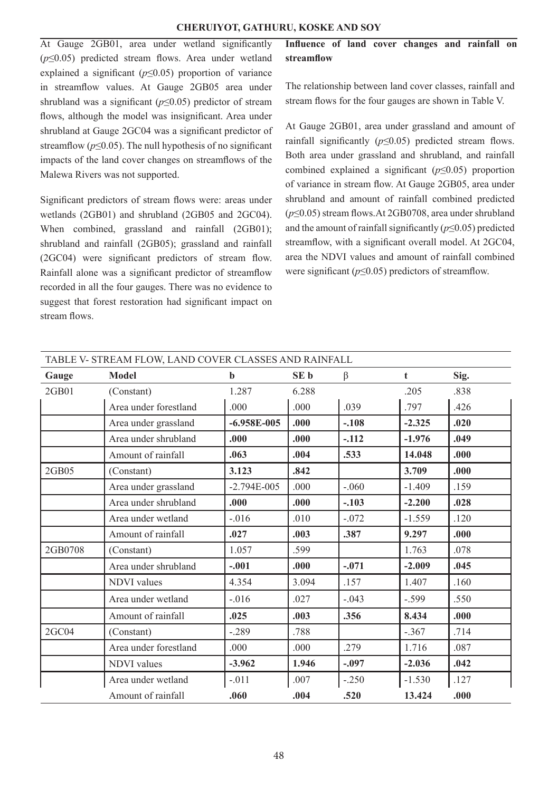#### **CHERUIYOT, GATHURU, KOSKE AND SOY**

At Gauge 2GB01, area under wetland significantly (*p*≤0.05) predicted stream flows. Area under wetland explained a significant (*p*≤0.05) proportion of variance in streamflow values. At Gauge 2GB05 area under shrubland was a significant (*p*≤0.05) predictor of stream flows, although the model was insignificant. Area under shrubland at Gauge 2GC04 was a significant predictor of streamflow  $(p \le 0.05)$ . The null hypothesis of no significant impacts of the land cover changes on streamflows of the Malewa Rivers was not supported.

Significant predictors of stream flows were: areas under wetlands (2GB01) and shrubland (2GB05 and 2GC04). When combined, grassland and rainfall (2GB01); shrubland and rainfall (2GB05); grassland and rainfall (2GC04) were significant predictors of stream flow. Rainfall alone was a significant predictor of streamflow recorded in all the four gauges. There was no evidence to suggest that forest restoration had significant impact on stream flows.

### **Influence of land cover changes and rainfall on streamflow**

The relationship between land cover classes, rainfall and stream flows for the four gauges are shown in Table V.

At Gauge 2GB01, area under grassland and amount of rainfall significantly (*p*≤0.05) predicted stream flows. Both area under grassland and shrubland, and rainfall combined explained a significant (*p*≤0.05) proportion of variance in stream flow. At Gauge 2GB05, area under shrubland and amount of rainfall combined predicted (*p*≤0.05) stream flows.At 2GB0708, area under shrubland and the amount of rainfall significantly  $(p \le 0.05)$  predicted streamflow, with a significant overall model. At 2GC04, area the NDVI values and amount of rainfall combined were significant (*p*≤0.05) predictors of streamflow.

| TABLE V- STREAM FLOW, LAND COVER CLASSES AND RAINFALL |                       |                 |        |         |          |       |  |  |  |
|-------------------------------------------------------|-----------------------|-----------------|--------|---------|----------|-------|--|--|--|
| Gauge                                                 | <b>Model</b>          | $\mathbf b$     | SE b   | β       | t        | Sig.  |  |  |  |
| 2GB01                                                 | (Constant)            | 1.287           | 6.288  |         | .205     | .838  |  |  |  |
|                                                       | Area under forestland | .000            | .000   | .039    | .797     | .426  |  |  |  |
|                                                       | Area under grassland  | $-6.958E - 005$ | .000.  | $-.108$ | $-2.325$ | .020  |  |  |  |
|                                                       | Area under shrubland  | .000            | .000   | $-.112$ | $-1.976$ | .049  |  |  |  |
|                                                       | Amount of rainfall    | .063            | .004   | .533    | 14.048   | .000. |  |  |  |
| 2GB05                                                 | (Constant)            | 3.123           | .842   |         | 3.709    | .000. |  |  |  |
|                                                       | Area under grassland  | $-2.794E - 005$ | .000   | $-060$  | $-1.409$ | .159  |  |  |  |
|                                                       | Area under shrubland  | .000            | .000   | $-.103$ | $-2.200$ | .028  |  |  |  |
|                                                       | Area under wetland    | $-.016$         | .010   | $-.072$ | $-1.559$ | .120  |  |  |  |
|                                                       | Amount of rainfall    | .027            | .003   | .387    | 9.297    | .000. |  |  |  |
| 2GB0708                                               | (Constant)            | 1.057           | .599   |         | 1.763    | .078  |  |  |  |
|                                                       | Area under shrubland  | $-.001$         | .000   | $-.071$ | $-2.009$ | .045  |  |  |  |
|                                                       | <b>NDVI</b> values    | 4.354           | 3.094  | .157    | 1.407    | .160  |  |  |  |
|                                                       | Area under wetland    | $-.016$         | .027   | $-.043$ | $-.599$  | .550  |  |  |  |
|                                                       | Amount of rainfall    | .025            | .003   | .356    | 8.434    | .000. |  |  |  |
| 2GC04                                                 | (Constant)            | $-289$          | .788   |         | $-.367$  | .714  |  |  |  |
|                                                       | Area under forestland | .000            | .000   | .279    | 1.716    | .087  |  |  |  |
|                                                       | <b>NDVI</b> values    | $-3.962$        | 1.946  | $-.097$ | $-2.036$ | .042  |  |  |  |
|                                                       | Area under wetland    | $-.011$         | $.007$ | $-.250$ | $-1.530$ | .127  |  |  |  |
|                                                       | Amount of rainfall    | .060            | .004   | .520    | 13.424   | .000  |  |  |  |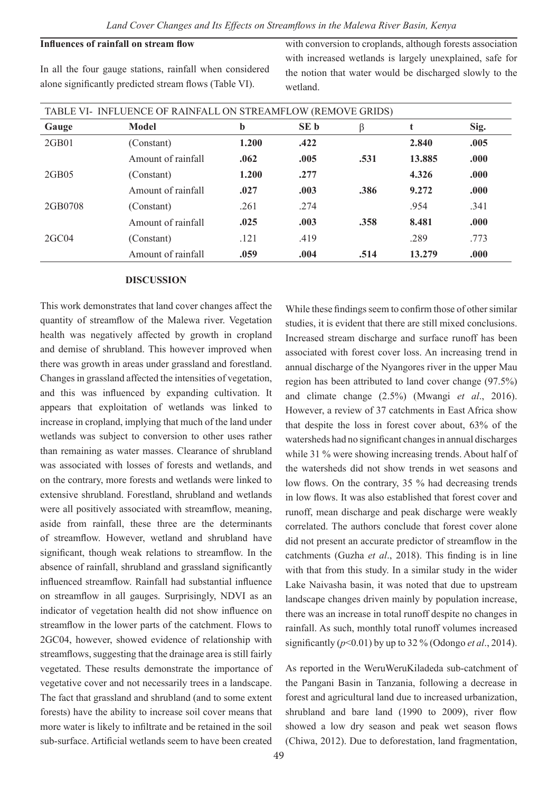## **Influences of rainfall on stream flow**

In all the four gauge stations, rainfall when considered alone significantly predicted stream flows (Table VI).

with conversion to croplands, although forests association with increased wetlands is largely unexplained, safe for the notion that water would be discharged slowly to the wetland.

| TABLE VI-INFLUENCE OF RAINFALL ON STREAMFLOW (REMOVE GRIDS) |                    |       |      |      |        |      |  |  |
|-------------------------------------------------------------|--------------------|-------|------|------|--------|------|--|--|
| Gauge                                                       | Model              | b     | SE b | ß    |        | Sig. |  |  |
| 2GB01                                                       | (Constant)         | 1.200 | .422 |      | 2.840  | .005 |  |  |
|                                                             | Amount of rainfall | .062  | .005 | .531 | 13.885 | .000 |  |  |
| $2$ GB05                                                    | (Constant)         | 1.200 | .277 |      | 4.326  | .000 |  |  |
|                                                             | Amount of rainfall | .027  | .003 | .386 | 9.272  | .000 |  |  |
| 2GB0708                                                     | (Constant)         | .261  | .274 |      | .954   | .341 |  |  |
|                                                             | Amount of rainfall | .025  | .003 | .358 | 8.481  | .000 |  |  |
| $2$ GC04                                                    | (Constant)         | .121  | .419 |      | .289   | .773 |  |  |
|                                                             | Amount of rainfall | .059  | .004 | .514 | 13.279 | .000 |  |  |

#### **DISCUSSION**

This work demonstrates that land cover changes affect the quantity of streamflow of the Malewa river. Vegetation health was negatively affected by growth in cropland and demise of shrubland. This however improved when there was growth in areas under grassland and forestland. Changes in grassland affected the intensities of vegetation, and this was influenced by expanding cultivation. It appears that exploitation of wetlands was linked to increase in cropland, implying that much of the land under wetlands was subject to conversion to other uses rather than remaining as water masses. Clearance of shrubland was associated with losses of forests and wetlands, and on the contrary, more forests and wetlands were linked to extensive shrubland. Forestland, shrubland and wetlands were all positively associated with streamflow, meaning, aside from rainfall, these three are the determinants of streamflow. However, wetland and shrubland have significant, though weak relations to streamflow. In the absence of rainfall, shrubland and grassland significantly influenced streamflow. Rainfall had substantial influence on streamflow in all gauges. Surprisingly, NDVI as an indicator of vegetation health did not show influence on streamflow in the lower parts of the catchment. Flows to 2GC04, however, showed evidence of relationship with streamflows, suggesting that the drainage area is still fairly vegetated. These results demonstrate the importance of vegetative cover and not necessarily trees in a landscape. The fact that grassland and shrubland (and to some extent forests) have the ability to increase soil cover means that more water is likely to infiltrate and be retained in the soil sub-surface. Artificial wetlands seem to have been created

While these findings seem to confirm those of other similar studies, it is evident that there are still mixed conclusions. Increased stream discharge and surface runoff has been associated with forest cover loss. An increasing trend in annual discharge of the Nyangores river in the upper Mau region has been attributed to land cover change (97.5%) and climate change (2.5%) (Mwangi *et al*., 2016). However, a review of 37 catchments in East Africa show that despite the loss in forest cover about, 63% of the watersheds had no significant changes in annual discharges while 31 % were showing increasing trends. About half of the watersheds did not show trends in wet seasons and low flows. On the contrary, 35 % had decreasing trends in low flows. It was also established that forest cover and runoff, mean discharge and peak discharge were weakly correlated. The authors conclude that forest cover alone did not present an accurate predictor of streamflow in the catchments (Guzha *et al*., 2018). This finding is in line with that from this study. In a similar study in the wider Lake Naivasha basin, it was noted that due to upstream landscape changes driven mainly by population increase, there was an increase in total runoff despite no changes in rainfall. As such, monthly total runoff volumes increased significantly (*p*<0.01) by up to 32 % (Odongo *et al*., 2014).

As reported in the WeruWeruKiladeda sub-catchment of the Pangani Basin in Tanzania, following a decrease in forest and agricultural land due to increased urbanization, shrubland and bare land (1990 to 2009), river flow showed a low dry season and peak wet season flows (Chiwa, 2012). Due to deforestation, land fragmentation,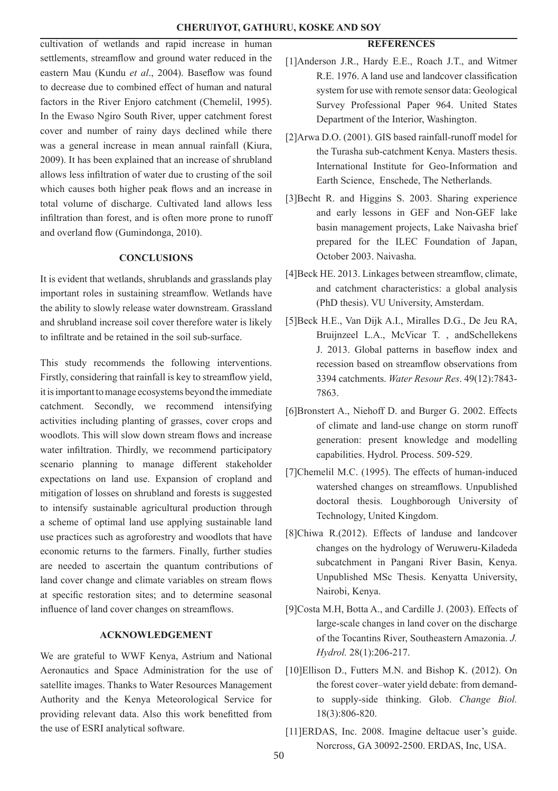#### **CHERUIYOT, GATHURU, KOSKE AND SOY**

cultivation of wetlands and rapid increase in human settlements, streamflow and ground water reduced in the eastern Mau (Kundu *et al*., 2004). Baseflow was found to decrease due to combined effect of human and natural factors in the River Enjoro catchment (Chemelil, 1995). In the Ewaso Ngiro South River, upper catchment forest cover and number of rainy days declined while there was a general increase in mean annual rainfall (Kiura, 2009). It has been explained that an increase of shrubland allows less infiltration of water due to crusting of the soil which causes both higher peak flows and an increase in total volume of discharge. Cultivated land allows less infiltration than forest, and is often more prone to runoff and overland flow (Gumindonga, 2010).

#### **CONCLUSIONS**

It is evident that wetlands, shrublands and grasslands play important roles in sustaining streamflow. Wetlands have the ability to slowly release water downstream. Grassland and shrubland increase soil cover therefore water is likely to infiltrate and be retained in the soil sub-surface.

This study recommends the following interventions. Firstly, considering that rainfall is key to streamflow yield, it is important to manage ecosystems beyond the immediate catchment. Secondly, we recommend intensifying activities including planting of grasses, cover crops and woodlots. This will slow down stream flows and increase water infiltration. Thirdly, we recommend participatory scenario planning to manage different stakeholder expectations on land use. Expansion of cropland and mitigation of losses on shrubland and forests is suggested to intensify sustainable agricultural production through a scheme of optimal land use applying sustainable land use practices such as agroforestry and woodlots that have economic returns to the farmers. Finally, further studies are needed to ascertain the quantum contributions of land cover change and climate variables on stream flows at specific restoration sites; and to determine seasonal influence of land cover changes on streamflows.

#### **ACKNOWLEDGEMENT**

We are grateful to WWF Kenya, Astrium and National Aeronautics and Space Administration for the use of satellite images. Thanks to Water Resources Management Authority and the Kenya Meteorological Service for providing relevant data. Also this work benefitted from the use of ESRI analytical software.

#### **REFERENCES**

- [1]Anderson J.R., Hardy E.E., Roach J.T., and Witmer R.E. 1976. A land use and landcover classification system for use with remote sensor data: Geological Survey Professional Paper 964. United States Department of the Interior, Washington.
- [2]Arwa D.O. (2001). GIS based rainfall-runoff model for the Turasha sub-catchment Kenya. Masters thesis. International Institute for Geo-Information and Earth Science, Enschede, The Netherlands.
- [3]Becht R. and Higgins S. 2003. Sharing experience and early lessons in GEF and Non-GEF lake basin management projects, Lake Naivasha brief prepared for the ILEC Foundation of Japan, October 2003. Naivasha.
- [4]Beck HE. 2013. Linkages between streamflow, climate, and catchment characteristics: a global analysis (PhD thesis). VU University, Amsterdam.
- [5]Beck H.E., Van Dijk A.I., Miralles D.G., De Jeu RA, Bruijnzeel L.A., McVicar T. , andSchellekens J. 2013. Global patterns in baseflow index and recession based on streamflow observations from 3394 catchments. *Water Resour Res*. 49(12):7843- 7863.
- [6]Bronstert A., Niehoff D. and Burger G. 2002. Effects of climate and land-use change on storm runoff generation: present knowledge and modelling capabilities. Hydrol. Process. 509-529.
- [7]Chemelil M.C. (1995). The effects of human-induced watershed changes on streamflows. Unpublished doctoral thesis. Loughborough University of Technology, United Kingdom.
- [8]Chiwa R.(2012). Effects of landuse and landcover changes on the hydrology of Weruweru-Kiladeda subcatchment in Pangani River Basin, Kenya. Unpublished MSc Thesis. Kenyatta University, Nairobi, Kenya.
- [9]Costa M.H, Botta A., and Cardille J. (2003). Effects of large-scale changes in land cover on the discharge of the Tocantins River, Southeastern Amazonia. *J. Hydrol.* 28(1):206-217.
- [10]Ellison D., Futters M.N. and Bishop K. (2012). On the forest cover–water yield debate: from demandto supply-side thinking. Glob. *Change Biol.* 18(3):806-820.
- [11]ERDAS, Inc. 2008. Imagine deltacue user's guide. Norcross, GA 30092-2500. ERDAS, Inc, USA.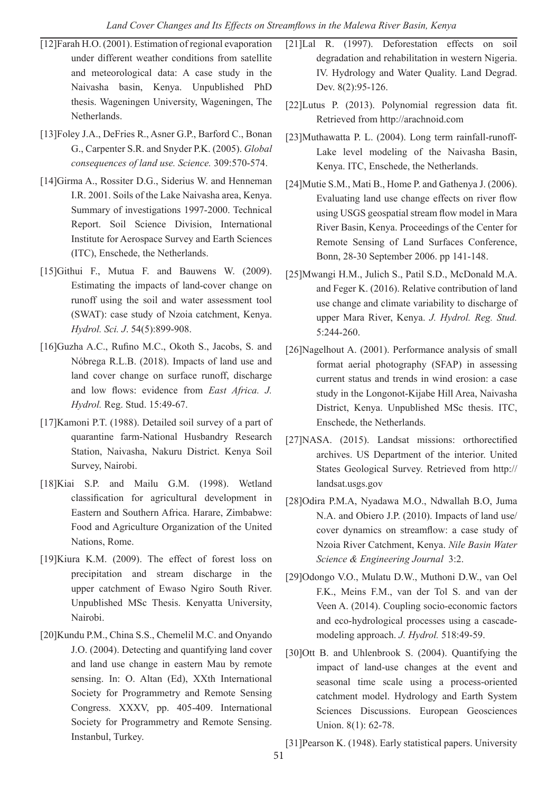- [12]Farah H.O. (2001). Estimation of regional evaporation under different weather conditions from satellite and meteorological data: A case study in the Naivasha basin, Kenya. Unpublished PhD thesis. Wageningen University, Wageningen, The Netherlands.
- [13]Foley J.A., DeFries R., Asner G.P., Barford C., Bonan G., Carpenter S.R. and Snyder P.K. (2005). *Global consequences of land use. Science.* 309:570-574.
- [14]Girma A., Rossiter D.G., Siderius W. and Henneman I.R. 2001. Soils of the Lake Naivasha area, Kenya. Summary of investigations 1997-2000. Technical Report. Soil Science Division, International Institute for Aerospace Survey and Earth Sciences (ITC), Enschede, the Netherlands.
- [15]Githui F., Mutua F. and Bauwens W. (2009). Estimating the impacts of land-cover change on runoff using the soil and water assessment tool (SWAT): case study of Nzoia catchment, Kenya. *Hydrol. Sci. J*. 54(5):899-908.
- [16]Guzha A.C., Rufino M.C., Okoth S., Jacobs, S. and Nóbrega R.L.B. (2018). Impacts of land use and land cover change on surface runoff, discharge and low flows: evidence from *East Africa. J. Hydrol.* Reg. Stud. 15:49-67.
- [17]Kamoni P.T. (1988). Detailed soil survey of a part of quarantine farm-National Husbandry Research Station, Naivasha, Nakuru District. Kenya Soil Survey, Nairobi.
- [18]Kiai S.P. and Mailu G.M. (1998). Wetland classification for agricultural development in Eastern and Southern Africa. Harare, Zimbabwe: Food and Agriculture Organization of the United Nations, Rome.
- [19]Kiura K.M. (2009). The effect of forest loss on precipitation and stream discharge in the upper catchment of Ewaso Ngiro South River. Unpublished MSc Thesis. Kenyatta University, Nairobi.
- [20]Kundu P.M., China S.S., Chemelil M.C. and Onyando J.O. (2004). Detecting and quantifying land cover and land use change in eastern Mau by remote sensing. In: O. Altan (Ed), XXth International Society for Programmetry and Remote Sensing Congress. XXXV, pp. 405-409. International Society for Programmetry and Remote Sensing. Instanbul, Turkey.
- [21]Lal R. (1997). Deforestation effects on soil degradation and rehabilitation in western Nigeria. IV. Hydrology and Water Quality. Land Degrad. Dev. 8(2):95-126.
- [22]Lutus P. (2013). Polynomial regression data fit. Retrieved from http://arachnoid.com
- [23]Muthawatta P. L. (2004). Long term rainfall-runoff-Lake level modeling of the Naivasha Basin, Kenya. ITC, Enschede, the Netherlands.
- [24]Mutie S.M., Mati B., Home P. and Gathenya J. (2006). Evaluating land use change effects on river flow using USGS geospatial stream flow model in Mara River Basin, Kenya. Proceedings of the Center for Remote Sensing of Land Surfaces Conference, Bonn, 28-30 September 2006. pp 141-148.
- [25]Mwangi H.M., Julich S., Patil S.D., McDonald M.A. and Feger K. (2016). Relative contribution of land use change and climate variability to discharge of upper Mara River, Kenya. *J. Hydrol. Reg. Stud.*  5:244-260.
- [26]Nagelhout A. (2001). Performance analysis of small format aerial photography (SFAP) in assessing current status and trends in wind erosion: a case study in the Longonot-Kijabe Hill Area, Naivasha District, Kenya. Unpublished MSc thesis. ITC, Enschede, the Netherlands.
- [27]NASA. (2015). Landsat missions: orthorectified archives. US Department of the interior. United States Geological Survey. Retrieved from http:// landsat.usgs.gov
- [28]Odira P.M.A, Nyadawa M.O., Ndwallah B.O, Juma N.A. and Obiero J.P. (2010). Impacts of land use/ cover dynamics on streamflow: a case study of Nzoia River Catchment, Kenya. *Nile Basin Water Science & Engineering Journal* 3:2.
- [29]Odongo V.O., Mulatu D.W., Muthoni D.W., van Oel F.K., Meins F.M., van der Tol S. and van der Veen A. (2014). Coupling socio-economic factors and eco-hydrological processes using a cascademodeling approach. *J. Hydrol.* 518:49-59.
- [30]Ott B. and Uhlenbrook S. (2004). Quantifying the impact of land-use changes at the event and seasonal time scale using a process-oriented catchment model. Hydrology and Earth System Sciences Discussions. European Geosciences Union. 8(1): 62-78.
- [31]Pearson K. (1948). Early statistical papers. University